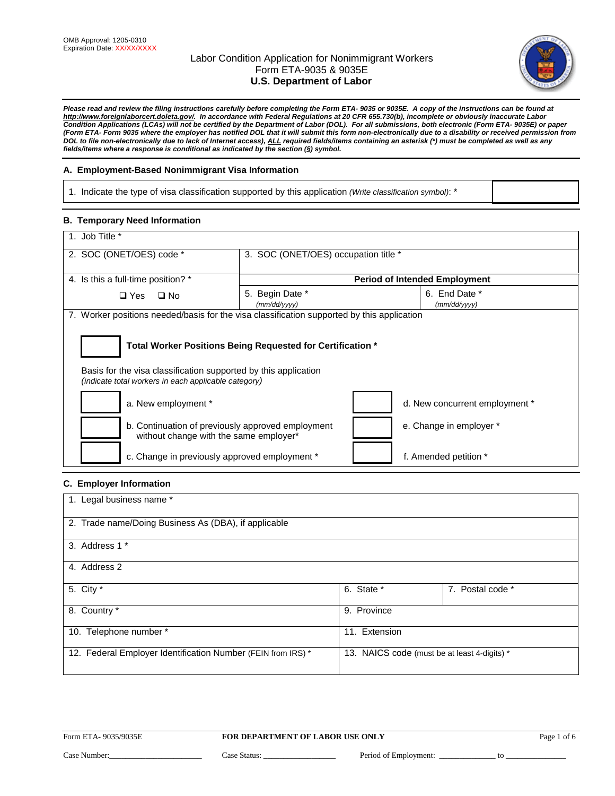

*Please read and review the filing instructions carefully before completing the Form ETA- 9035 or 9035E. A copy of the instructions can be found at [http://www.foreignlaborcert.doleta.gov/.](http://www.foreignlaborcert.doleta.gov/) In accordance with Federal Regulations at 20 CFR 655.730(b), incomplete or obviously inaccurate Labor Condition Applications (LCAs) will not be certified by the Department of Labor (DOL). For all submissions, both electronic (Form ETA- 9035E) or paper (Form ETA- Form 9035 where the employer has notified DOL that it will submit this form non-electronically due to a disability or received permission from DOL to file non-electronically due to lack of Internet access), ALL required fields/items containing an asterisk (\*) must be completed as well as any fields/items where a response is conditional as indicated by the section (§) symbol.* 

## **A. Employment-Based Nonimmigrant Visa Information**

1. Indicate the type of visa classification supported by this application *(Write classification symbol)*: \*

# **B. Temporary Need Information**

| 1. Job Title *                                                                              |                                                                                                                         |                                      |  |  |  |
|---------------------------------------------------------------------------------------------|-------------------------------------------------------------------------------------------------------------------------|--------------------------------------|--|--|--|
| 2. SOC (ONET/OES) code *                                                                    | 3. SOC (ONET/OES) occupation title *                                                                                    |                                      |  |  |  |
|                                                                                             |                                                                                                                         |                                      |  |  |  |
| 4. Is this a full-time position? *                                                          |                                                                                                                         | <b>Period of Intended Employment</b> |  |  |  |
| $\Box$ Yes<br>$\square$ No                                                                  | 5. Begin Date *                                                                                                         | 6. End Date *                        |  |  |  |
|                                                                                             | (mm/dd/yyyy)                                                                                                            | (mm/dd/yyyy)                         |  |  |  |
| 7. Worker positions needed/basis for the visa classification supported by this application  |                                                                                                                         |                                      |  |  |  |
|                                                                                             |                                                                                                                         |                                      |  |  |  |
|                                                                                             | Total Worker Positions Being Requested for Certification *                                                              |                                      |  |  |  |
|                                                                                             | Basis for the visa classification supported by this application<br>(indicate total workers in each applicable category) |                                      |  |  |  |
| a. New employment *<br>d. New concurrent employment *                                       |                                                                                                                         |                                      |  |  |  |
| b. Continuation of previously approved employment<br>without change with the same employer* |                                                                                                                         | e. Change in employer *              |  |  |  |
| c. Change in previously approved employment *                                               |                                                                                                                         | f. Amended petition *                |  |  |  |

## **C. Employer Information**

| 1. Legal business name *                                     |                                              |                  |
|--------------------------------------------------------------|----------------------------------------------|------------------|
| 2. Trade name/Doing Business As (DBA), if applicable         |                                              |                  |
| 3. Address 1 *                                               |                                              |                  |
| 4. Address 2                                                 |                                              |                  |
| 5. City *                                                    | 6. State *                                   | 7. Postal code * |
| 8. Country *                                                 | 9. Province                                  |                  |
| 10. Telephone number *                                       | 11. Extension                                |                  |
| 12. Federal Employer Identification Number (FEIN from IRS) * | 13. NAICS code (must be at least 4-digits) * |                  |

Case Number:\_\_\_\_\_\_\_\_\_\_\_\_\_\_\_\_\_\_\_\_\_\_\_ Case Status: \_\_\_\_\_\_\_\_\_\_\_\_\_\_\_\_\_\_ Period of Employment: \_\_\_\_\_\_\_\_\_\_\_\_\_\_ to \_\_\_\_\_\_\_\_\_\_\_\_\_\_\_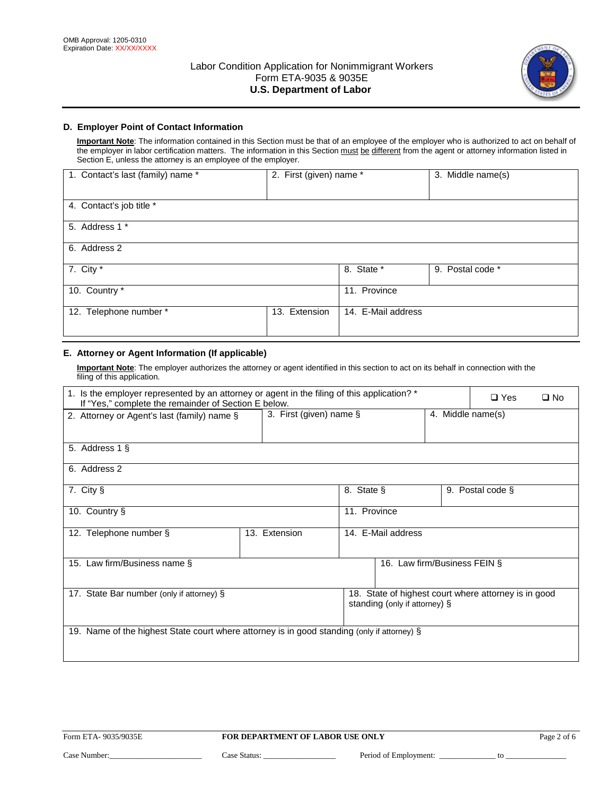

# **D. Employer Point of Contact Information**

**Important Note**: The information contained in this Section must be that of an employee of the employer who is authorized to act on behalf of the employer in labor certification matters. The information in this Section must be different from the agent or attorney information listed in Section E, unless the attorney is an employee of the employer.

| 1. Contact's last (family) name * | 2. First (given) name * |                    | 3. Middle name(s) |
|-----------------------------------|-------------------------|--------------------|-------------------|
| 4. Contact's job title *          |                         |                    |                   |
| 5. Address 1 *                    |                         |                    |                   |
| 6. Address 2                      |                         |                    |                   |
| 7. City *                         |                         | 8. State *         | 9. Postal code *  |
| 10. Country *                     |                         | 11. Province       |                   |
| 12. Telephone number *            | Extension<br>13.        | 14. E-Mail address |                   |

# **E. Attorney or Agent Information (If applicable)**

**Important Note**: The employer authorizes the attorney or agent identified in this section to act on its behalf in connection with the filing of this application.

| 1. Is the employer represented by an attorney or agent in the filing of this application? *<br>If "Yes," complete the remainder of Section E below. |                            |            |                               |  | $\square$ Yes<br>$\square$ No                        |
|-----------------------------------------------------------------------------------------------------------------------------------------------------|----------------------------|------------|-------------------------------|--|------------------------------------------------------|
| 2. Attorney or Agent's last (family) name §                                                                                                         | 3. First (given) name $\S$ |            |                               |  | 4. Middle name(s)                                    |
| 5. Address 1 §                                                                                                                                      |                            |            |                               |  |                                                      |
| 6. Address 2                                                                                                                                        |                            |            |                               |  |                                                      |
| 7. City §                                                                                                                                           |                            | 8. State § |                               |  | 9. Postal code §                                     |
| 11. Province<br>10. Country §                                                                                                                       |                            |            |                               |  |                                                      |
| 12. Telephone number §                                                                                                                              | 13. Extension              |            | 14. E-Mail address            |  |                                                      |
| 15. Law firm/Business name §                                                                                                                        |                            |            | 16. Law firm/Business FEIN §  |  |                                                      |
| 17. State Bar number (only if attorney) §                                                                                                           |                            |            | standing (only if attorney) § |  | 18. State of highest court where attorney is in good |
| 19. Name of the highest State court where attorney is in good standing (only if attorney) §                                                         |                            |            |                               |  |                                                      |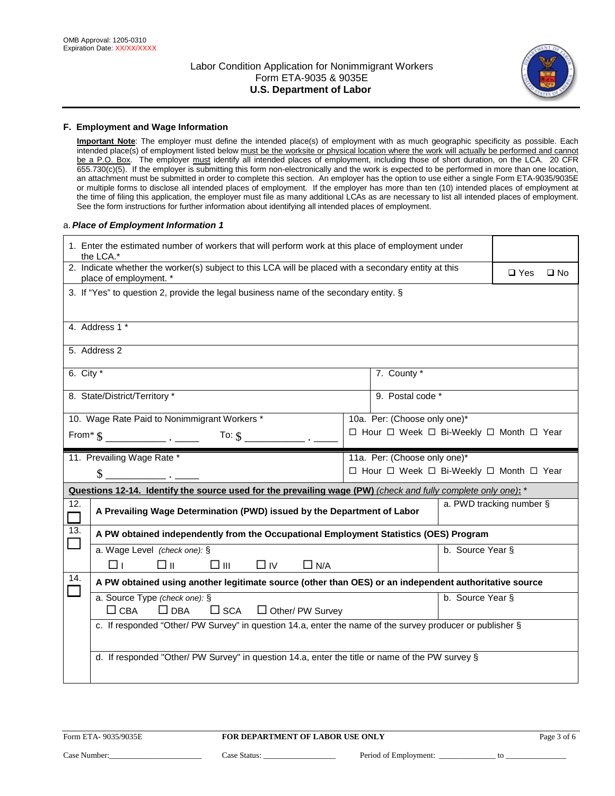

## **F. Employment and Wage Information**

**Important Note**: The employer must define the intended place(s) of employment with as much geographic specificity as possible. Each intended place(s) of employment listed below must be the worksite or physical location where the work will actually be performed and cannot be a P.O. Box. The employer must identify all intended places of employment, including those of short duration, on the LCA. 20 CFR 655.730(c)(5). If the employer is submitting this form non-electronically and the work is expected to be performed in more than one location, an attachment must be submitted in order to complete this section. An employer has the option to use either a single Form ETA-9035/9035E or multiple forms to disclose all intended places of employment. If the employer has more than ten (10) intended places of employment at the time of filing this application, the employer must file as many additional LCAs as are necessary to list all intended places of employment. See the form instructions for further information about identifying all intended places of employment.

#### a.*Place of Employment Information 1*

|                                                                                                                           | 1. Enter the estimated number of workers that will perform work at this place of employment under<br>the LCA.*                 |  |                                          |                          |  |              |  |
|---------------------------------------------------------------------------------------------------------------------------|--------------------------------------------------------------------------------------------------------------------------------|--|------------------------------------------|--------------------------|--|--------------|--|
|                                                                                                                           | 2. Indicate whether the worker(s) subject to this LCA will be placed with a secondary entity at this<br>place of employment. * |  |                                          |                          |  | $\square$ No |  |
|                                                                                                                           | 3. If "Yes" to question 2, provide the legal business name of the secondary entity. §                                          |  |                                          |                          |  |              |  |
|                                                                                                                           | 4. Address 1 *                                                                                                                 |  |                                          |                          |  |              |  |
|                                                                                                                           | 5. Address 2                                                                                                                   |  |                                          |                          |  |              |  |
| 6. City $*$                                                                                                               |                                                                                                                                |  | 7. County *                              |                          |  |              |  |
|                                                                                                                           | 8. State/District/Territory *                                                                                                  |  | 9. Postal code *                         |                          |  |              |  |
|                                                                                                                           | 10. Wage Rate Paid to Nonimmigrant Workers *                                                                                   |  | 10a. Per: (Choose only one)*             |                          |  |              |  |
|                                                                                                                           |                                                                                                                                |  | □ Hour □ Week □ Bi-Weekly □ Month □ Year |                          |  |              |  |
|                                                                                                                           | 11. Prevailing Wage Rate *                                                                                                     |  | 11a. Per: (Choose only one)*             |                          |  |              |  |
|                                                                                                                           | \$                                                                                                                             |  | □ Hour □ Week □ Bi-Weekly □ Month □ Year |                          |  |              |  |
|                                                                                                                           | Questions 12-14. Identify the source used for the prevailing wage (PW) (check and fully complete only one): *                  |  |                                          |                          |  |              |  |
| 12.                                                                                                                       | A Prevailing Wage Determination (PWD) issued by the Department of Labor                                                        |  |                                          | a. PWD tracking number § |  |              |  |
| 13.                                                                                                                       | A PW obtained independently from the Occupational Employment Statistics (OES) Program                                          |  |                                          |                          |  |              |  |
|                                                                                                                           | a. Wage Level (check one): §                                                                                                   |  |                                          | b. Source Year §         |  |              |  |
|                                                                                                                           | $\square$ $\square$<br>□⊪<br>$\Box$ IV<br>$\Box$ N/A<br>⊓⊥                                                                     |  |                                          |                          |  |              |  |
| 14.                                                                                                                       | A PW obtained using another legitimate source (other than OES) or an independent authoritative source                          |  |                                          |                          |  |              |  |
| a. Source Type (check one): §<br>b. Source Year §<br>$\Box$ CBA<br>$\Box$ DBA<br>$\square$ SCA<br>$\Box$ Other/ PW Survey |                                                                                                                                |  |                                          |                          |  |              |  |
|                                                                                                                           | c. If responded "Other/ PW Survey" in question 14.a, enter the name of the survey producer or publisher §                      |  |                                          |                          |  |              |  |
|                                                                                                                           | d. If responded "Other/ PW Survey" in question 14.a, enter the title or name of the PW survey §                                |  |                                          |                          |  |              |  |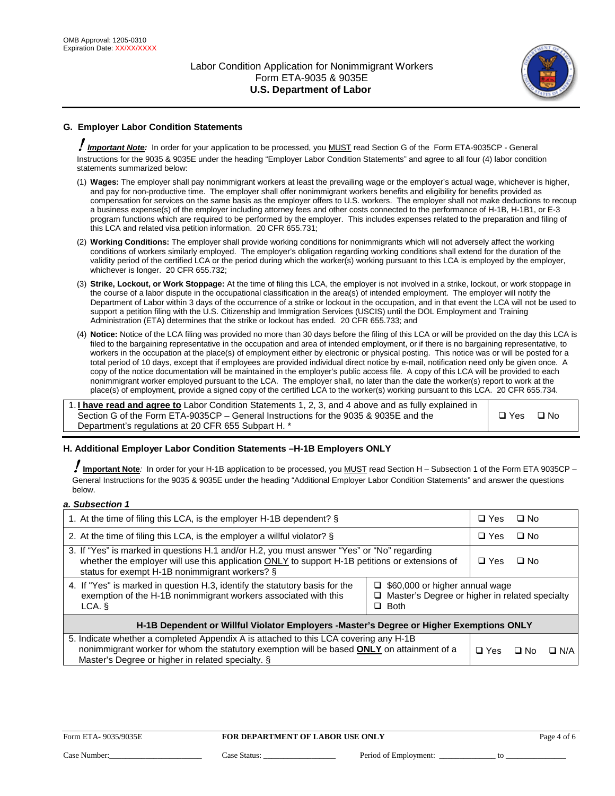

# **G. Employer Labor Condition Statements**

! *Important Note:* In order for your application to be processed, you MUST read Section G of the Form ETA-9035CP - General Instructions for the 9035 & 9035E under the heading "Employer Labor Condition Statements" and agree to all four (4) labor condition statements summarized below:

- (1) **Wages:** The employer shall pay nonimmigrant workers at least the prevailing wage or the employer's actual wage, whichever is higher, and pay for non-productive time. The employer shall offer nonimmigrant workers benefits and eligibility for benefits provided as compensation for services on the same basis as the employer offers to U.S. workers. The employer shall not make deductions to recoup a business expense(s) of the employer including attorney fees and other costs connected to the performance of H-1B, H-1B1, or E-3 program functions which are required to be performed by the employer. This includes expenses related to the preparation and filing of this LCA and related visa petition information. 20 CFR 655.731;
- (2) **Working Conditions:** The employer shall provide working conditions for nonimmigrants which will not adversely affect the working conditions of workers similarly employed. The employer's obligation regarding working conditions shall extend for the duration of the validity period of the certified LCA or the period during which the worker(s) working pursuant to this LCA is employed by the employer, whichever is longer. 20 CFR 655.732;
- (3) **Strike, Lockout, or Work Stoppage:** At the time of filing this LCA, the employer is not involved in a strike, lockout, or work stoppage in the course of a labor dispute in the occupational classification in the area(s) of intended employment. The employer will notify the Department of Labor within 3 days of the occurrence of a strike or lockout in the occupation, and in that event the LCA will not be used to support a petition filing with the U.S. Citizenship and Immigration Services (USCIS) until the DOL Employment and Training Administration (ETA) determines that the strike or lockout has ended. 20 CFR 655.733; and
- (4) **Notice:** Notice of the LCA filing was provided no more than 30 days before the filing of this LCA or will be provided on the day this LCA is filed to the bargaining representative in the occupation and area of intended employment, or if there is no bargaining representative, to workers in the occupation at the place(s) of employment either by electronic or physical posting. This notice was or will be posted for a total period of 10 days, except that if employees are provided individual direct notice by e-mail, notification need only be given once. A copy of the notice documentation will be maintained in the employer's public access file. A copy of this LCA will be provided to each nonimmigrant worker employed pursuant to the LCA. The employer shall, no later than the date the worker(s) report to work at the place(s) of employment, provide a signed copy of the certified LCA to the worker(s) working pursuant to this LCA. 20 CFR 655.734.

1. **I have read and agree to** Labor Condition Statements 1, 2, 3, and 4 above and as fully explained in Section G of the Form ETA-9035CP – General Instructions for the 9035 & 9035E and the Department's regulations at 20 CFR 655 Subpart H. \*

 $\Box$  Yes  $\Box$  No

## **H. Additional Employer Labor Condition Statements –H-1B Employers ONLY**

!**Important Note***:* In order for your H-1B application to be processed, you MUST read Section H – Subsection 1 of the Form ETA 9035CP – General Instructions for the 9035 & 9035E under the heading "Additional Employer Labor Condition Statements" and answer the questions below.

### *a. Subsection 1*

| 1. At the time of filing this LCA, is the employer H-1B dependent? §                                                                                                                                                                                                      |  |  | $\Box$ No |            |
|---------------------------------------------------------------------------------------------------------------------------------------------------------------------------------------------------------------------------------------------------------------------------|--|--|-----------|------------|
| 2. At the time of filing this LCA, is the employer a willful violator? §                                                                                                                                                                                                  |  |  | ∩ No      |            |
| 3. If "Yes" is marked in questions H.1 and/or H.2, you must answer "Yes" or "No" regarding<br>whether the employer will use this application ONLY to support H-1B petitions or extensions of<br>status for exempt H-1B nonimmigrant workers? §                            |  |  | $\Box$ No |            |
| 4. If "Yes" is marked in question H.3, identify the statutory basis for the<br>$\Box$ \$60,000 or higher annual wage<br>exemption of the H-1B nonimmigrant workers associated with this<br>$\Box$ Master's Degree or higher in related specialty<br>$\Box$ Both<br>LCA. § |  |  |           |            |
| H-1B Dependent or Willful Violator Employers -Master's Degree or Higher Exemptions ONLY                                                                                                                                                                                   |  |  |           |            |
| 5. Indicate whether a completed Appendix A is attached to this LCA covering any H-1B<br>nonimmigrant worker for whom the statutory exemption will be based <b>ONLY</b> on attainment of a<br>Master's Degree or higher in related specialty. §                            |  |  | ⊡ No      | $\Box$ N/A |

#### Form ETA-9035/9035E **FOR DEPARTMENT OF LABOR USE ONLY** Page 4 of 6

Case Number:\_\_\_\_\_\_\_\_\_\_\_\_\_\_\_\_\_\_\_\_\_\_\_ Case Status: \_\_\_\_\_\_\_\_\_\_\_\_\_\_\_\_\_\_ Period of Employment: \_\_\_\_\_\_\_\_\_\_\_\_\_\_ to \_\_\_\_\_\_\_\_\_\_\_\_\_\_\_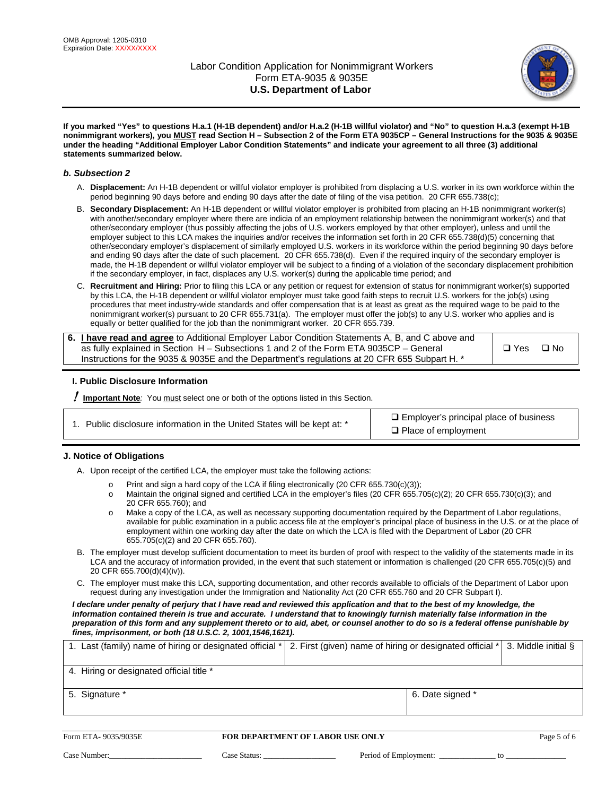

**If you marked "Yes" to questions H.a.1 (H-1B dependent) and/or H.a.2 (H-1B willful violator) and "No" to question H.a.3 (exempt H-1B nonimmigrant workers), you MUST read Section H – Subsection 2 of the Form ETA 9035CP – General Instructions for the 9035 & 9035E under the heading "Additional Employer Labor Condition Statements" and indicate your agreement to all three (3) additional statements summarized below.**

### *b. Subsection 2*

- A. **Displacement:** An H-1B dependent or willful violator employer is prohibited from displacing a U.S. worker in its own workforce within the period beginning 90 days before and ending 90 days after the date of filing of the visa petition. 20 CFR 655.738(c);
- B. **Secondary Displacement:** An H-1B dependent or willful violator employer is prohibited from placing an H-1B nonimmigrant worker(s) with another/secondary employer where there are indicia of an employment relationship between the nonimmigrant worker(s) and that other/secondary employer (thus possibly affecting the jobs of U.S. workers employed by that other employer), unless and until the employer subject to this LCA makes the inquiries and/or receives the information set forth in 20 CFR 655.738(d)(5) concerning that other/secondary employer's displacement of similarly employed U.S. workers in its workforce within the period beginning 90 days before and ending 90 days after the date of such placement. 20 CFR 655.738(d). Even if the required inquiry of the secondary employer is made, the H-1B dependent or willful violator employer will be subject to a finding of a violation of the secondary displacement prohibition if the secondary employer, in fact, displaces any U.S. worker(s) during the applicable time period; and
- C. **Recruitment and Hiring:** Prior to filing this LCA or any petition or request for extension of status for nonimmigrant worker(s) supported by this LCA, the H-1B dependent or willful violator employer must take good faith steps to recruit U.S. workers for the job(s) using procedures that meet industry-wide standards and offer compensation that is at least as great as the required wage to be paid to the nonimmigrant worker(s) pursuant to 20 CFR 655.731(a). The employer must offer the job(s) to any U.S. worker who applies and is equally or better qualified for the job than the nonimmigrant worker. 20 CFR 655.739.

| 6. I have read and agree to Additional Employer Labor Condition Statements A, B, and C above and |       |      |
|--------------------------------------------------------------------------------------------------|-------|------|
| as fully explained in Section H – Subsections 1 and 2 of the Form ETA 9035CP – General           | □ Yes | ⊟ No |
| lnstructions for the 9035 & 9035E and the Department's regulations at 20 CFR 655 Subpart H. *    |       |      |

## **I. Public Disclosure Information**

! **Important Note***:* You must select one or both of the options listed in this Section.

1. Public disclosure information in the United States will be kept at:  $*$  Employer's principal place of business

□ Place of employment

#### **J. Notice of Obligations**

A. Upon receipt of the certified LCA, the employer must take the following actions:

- o Print and sign a hard copy of the LCA if filing electronically (20 CFR 655.730(c)(3));<br>
Maintain the original signed and certified LCA in the employer's files (20 CFR 655.7
- Maintain the original signed and certified LCA in the employer's files (20 CFR 655.705(c)(2); 20 CFR 655.730(c)(3); and 20 CFR 655.760); and
- o Make a copy of the LCA, as well as necessary supporting documentation required by the Department of Labor regulations, available for public examination in a public access file at the employer's principal place of business in the U.S. or at the place of employment within one working day after the date on which the LCA is filed with the Department of Labor (20 CFR 655.705(c)(2) and 20 CFR 655.760).
- B. The employer must develop sufficient documentation to meet its burden of proof with respect to the validity of the statements made in its LCA and the accuracy of information provided, in the event that such statement or information is challenged (20 CFR 655.705(c)(5) and 20 CFR 655.700(d)(4)(iv)).
- C. The employer must make this LCA, supporting documentation, and other records available to officials of the Department of Labor upon request during any investigation under the Immigration and Nationality Act (20 CFR 655.760 and 20 CFR Subpart I).

*I declare under penalty of perjury that I have read and reviewed this application and that to the best of my knowledge, the*  information contained therein is true and accurate. I understand that to knowingly furnish materially false information in the *preparation of this form and any supplement thereto or to aid, abet, or counsel another to do so is a federal offense punishable by fines, imprisonment, or both (18 U.S.C. 2, 1001,1546,1621).*

| 1. Last (family) name of hiring or designated official *   2. First (given) name of hiring or designated official *   3. Middle initial § |                  |  |
|-------------------------------------------------------------------------------------------------------------------------------------------|------------------|--|
| 4. Hiring or designated official title *                                                                                                  |                  |  |
| 5. Signature *                                                                                                                            | 6. Date signed * |  |

#### Form ETA- 9035/9035E **FOR DEPARTMENT OF LABOR USE ONLY** Page 5 of 6

Case Number:\_\_\_\_\_\_\_\_\_\_\_\_\_\_\_\_\_\_\_\_\_\_\_ Case Status: \_\_\_\_\_\_\_\_\_\_\_\_\_\_\_\_\_\_ Period of Employment: \_\_\_\_\_\_\_\_\_\_\_\_\_\_ to \_\_\_\_\_\_\_\_\_\_\_\_\_\_\_